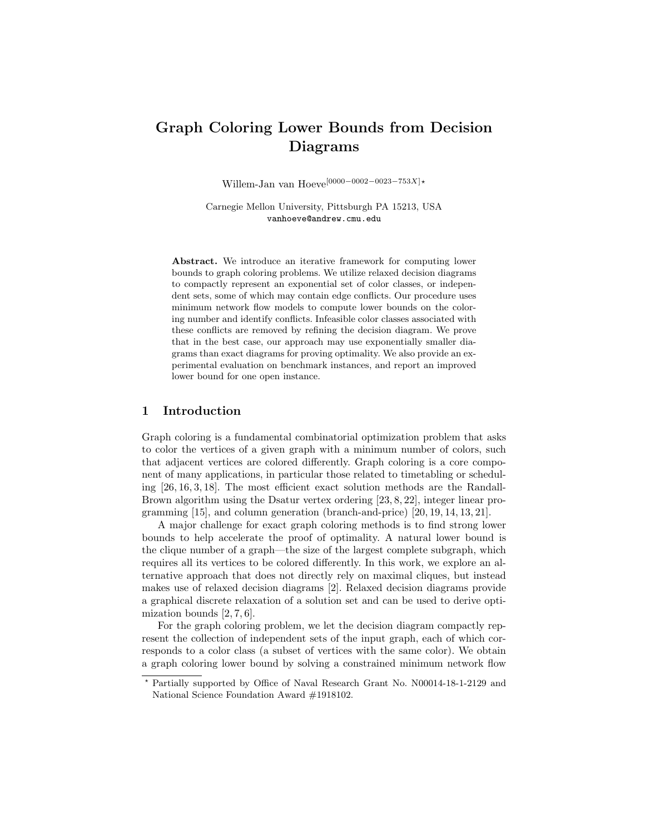# Graph Coloring Lower Bounds from Decision Diagrams

Willem-Jan van Hoeve<sup>[0000–0002–0023–753X]</sup>\*

Carnegie Mellon University, Pittsburgh PA 15213, USA vanhoeve@andrew.cmu.edu

Abstract. We introduce an iterative framework for computing lower bounds to graph coloring problems. We utilize relaxed decision diagrams to compactly represent an exponential set of color classes, or independent sets, some of which may contain edge conflicts. Our procedure uses minimum network flow models to compute lower bounds on the coloring number and identify conflicts. Infeasible color classes associated with these conflicts are removed by refining the decision diagram. We prove that in the best case, our approach may use exponentially smaller diagrams than exact diagrams for proving optimality. We also provide an experimental evaluation on benchmark instances, and report an improved lower bound for one open instance.

## 1 Introduction

Graph coloring is a fundamental combinatorial optimization problem that asks to color the vertices of a given graph with a minimum number of colors, such that adjacent vertices are colored differently. Graph coloring is a core component of many applications, in particular those related to timetabling or scheduling [26, 16, 3, 18]. The most efficient exact solution methods are the Randall-Brown algorithm using the Dsatur vertex ordering [23, 8, 22], integer linear programming [15], and column generation (branch-and-price) [20, 19, 14, 13, 21].

A major challenge for exact graph coloring methods is to find strong lower bounds to help accelerate the proof of optimality. A natural lower bound is the clique number of a graph—the size of the largest complete subgraph, which requires all its vertices to be colored differently. In this work, we explore an alternative approach that does not directly rely on maximal cliques, but instead makes use of relaxed decision diagrams [2]. Relaxed decision diagrams provide a graphical discrete relaxation of a solution set and can be used to derive optimization bounds [2, 7, 6].

For the graph coloring problem, we let the decision diagram compactly represent the collection of independent sets of the input graph, each of which corresponds to a color class (a subset of vertices with the same color). We obtain a graph coloring lower bound by solving a constrained minimum network flow

<sup>?</sup> Partially supported by Office of Naval Research Grant No. N00014-18-1-2129 and National Science Foundation Award #1918102.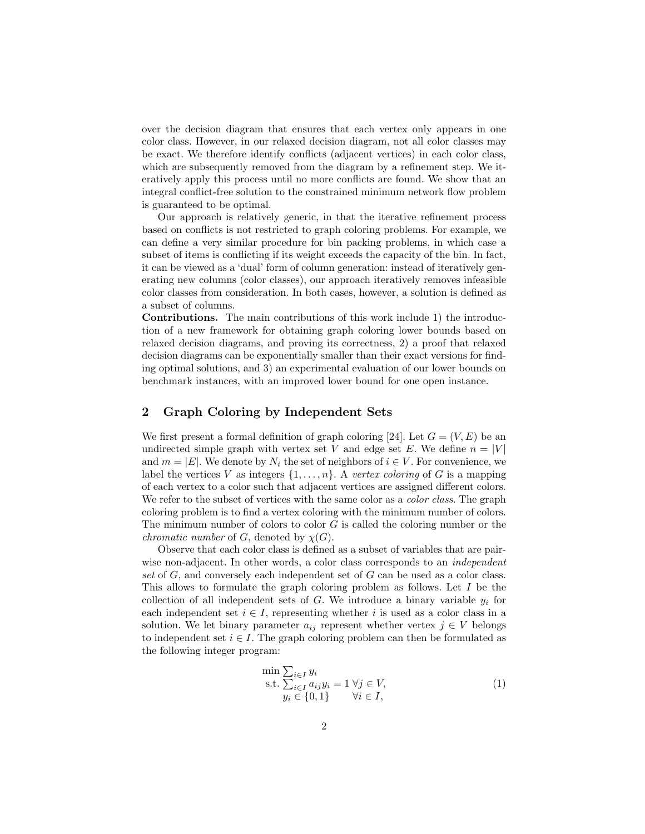over the decision diagram that ensures that each vertex only appears in one color class. However, in our relaxed decision diagram, not all color classes may be exact. We therefore identify conflicts (adjacent vertices) in each color class, which are subsequently removed from the diagram by a refinement step. We iteratively apply this process until no more conflicts are found. We show that an integral conflict-free solution to the constrained minimum network flow problem is guaranteed to be optimal.

Our approach is relatively generic, in that the iterative refinement process based on conflicts is not restricted to graph coloring problems. For example, we can define a very similar procedure for bin packing problems, in which case a subset of items is conflicting if its weight exceeds the capacity of the bin. In fact, it can be viewed as a 'dual' form of column generation: instead of iteratively generating new columns (color classes), our approach iteratively removes infeasible color classes from consideration. In both cases, however, a solution is defined as a subset of columns.

Contributions. The main contributions of this work include 1) the introduction of a new framework for obtaining graph coloring lower bounds based on relaxed decision diagrams, and proving its correctness, 2) a proof that relaxed decision diagrams can be exponentially smaller than their exact versions for finding optimal solutions, and 3) an experimental evaluation of our lower bounds on benchmark instances, with an improved lower bound for one open instance.

#### 2 Graph Coloring by Independent Sets

We first present a formal definition of graph coloring [24]. Let  $G = (V, E)$  be an undirected simple graph with vertex set V and edge set E. We define  $n = |V|$ and  $m = |E|$ . We denote by  $N_i$  the set of neighbors of  $i \in V$ . For convenience, we label the vertices V as integers  $\{1, \ldots, n\}$ . A vertex coloring of G is a mapping of each vertex to a color such that adjacent vertices are assigned different colors. We refer to the subset of vertices with the same color as a *color class*. The graph coloring problem is to find a vertex coloring with the minimum number of colors. The minimum number of colors to color G is called the coloring number or the *chromatic number* of  $G$ , denoted by  $\chi(G)$ .

Observe that each color class is defined as a subset of variables that are pairwise non-adjacent. In other words, a color class corresponds to an *independent* set of G, and conversely each independent set of G can be used as a color class. This allows to formulate the graph coloring problem as follows. Let I be the collection of all independent sets of G. We introduce a binary variable  $y_i$  for each independent set  $i \in I$ , representing whether i is used as a color class in a solution. We let binary parameter  $a_{ij}$  represent whether vertex  $j \in V$  belongs to independent set  $i \in I$ . The graph coloring problem can then be formulated as the following integer program:

$$
\min \sum_{i \in I} y_i
$$
\n
$$
\text{s.t.} \sum_{i \in I} a_{ij} y_i = 1 \ \forall j \in V,
$$
\n
$$
y_i \in \{0, 1\} \qquad \forall i \in I,
$$
\n
$$
(1)
$$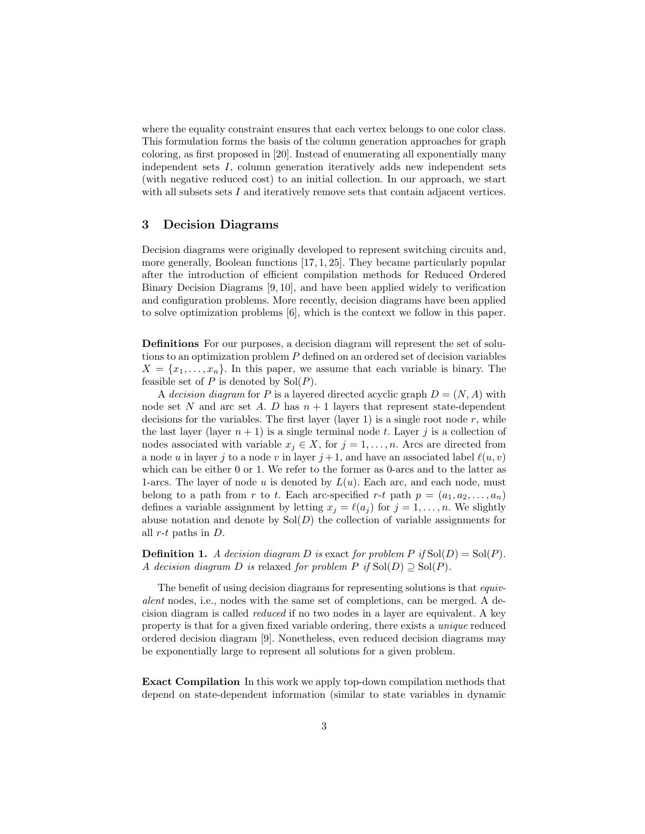where the equality constraint ensures that each vertex belongs to one color class. This formulation forms the basis of the column generation approaches for graph coloring, as first proposed in [20]. Instead of enumerating all exponentially many independent sets I, column generation iteratively adds new independent sets (with negative reduced cost) to an initial collection. In our approach, we start with all subsets sets I and iteratively remove sets that contain adjacent vertices.

## 3 Decision Diagrams

Decision diagrams were originally developed to represent switching circuits and, more generally, Boolean functions [17, 1, 25]. They became particularly popular after the introduction of efficient compilation methods for Reduced Ordered Binary Decision Diagrams [9, 10], and have been applied widely to verification and configuration problems. More recently, decision diagrams have been applied to solve optimization problems [6], which is the context we follow in this paper.

Definitions For our purposes, a decision diagram will represent the set of solutions to an optimization problem P defined on an ordered set of decision variables  $X = \{x_1, \ldots, x_n\}$ . In this paper, we assume that each variable is binary. The feasible set of  $P$  is denoted by  $Sol(P)$ .

A decision diagram for P is a layered directed acyclic graph  $D = (N, A)$  with node set N and arc set A. D has  $n + 1$  layers that represent state-dependent decisions for the variables. The first layer (layer 1) is a single root node r, while the last layer (layer  $n + 1$ ) is a single terminal node t. Layer j is a collection of nodes associated with variable  $x_j \in X$ , for  $j = 1, ..., n$ . Arcs are directed from a node u in layer j to a node v in layer  $j + 1$ , and have an associated label  $\ell(u, v)$ which can be either 0 or 1. We refer to the former as 0-arcs and to the latter as 1-arcs. The layer of node u is denoted by  $L(u)$ . Each arc, and each node, must belong to a path from r to t. Each arc-specified r-t path  $p = (a_1, a_2, \ldots, a_n)$ defines a variable assignment by letting  $x_j = \ell(a_j)$  for  $j = 1, \ldots, n$ . We slightly abuse notation and denote by  $Sol(D)$  the collection of variable assignments for all  $r$ -t paths in  $D$ .

**Definition 1.** A decision diagram D is exact for problem P if  $Sol(D) = Sol(P)$ . A decision diagram D is relaxed for problem P if  $Sol(D) \supseteq Sol(P)$ .

The benefit of using decision diagrams for representing solutions is that *equiv*alent nodes, i.e., nodes with the same set of completions, can be merged. A decision diagram is called reduced if no two nodes in a layer are equivalent. A key property is that for a given fixed variable ordering, there exists a unique reduced ordered decision diagram [9]. Nonetheless, even reduced decision diagrams may be exponentially large to represent all solutions for a given problem.

Exact Compilation In this work we apply top-down compilation methods that depend on state-dependent information (similar to state variables in dynamic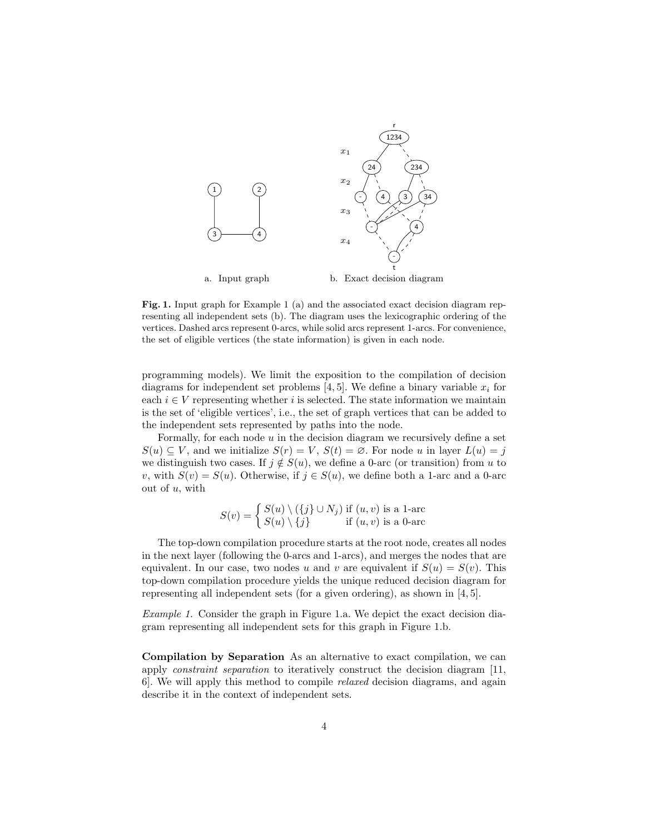

Fig. 1. Input graph for Example 1 (a) and the associated exact decision diagram representing all independent sets (b). The diagram uses the lexicographic ordering of the vertices. Dashed arcs represent 0-arcs, while solid arcs represent 1-arcs. For convenience, the set of eligible vertices (the state information) is given in each node.

programming models). We limit the exposition to the compilation of decision diagrams for independent set problems [4, 5]. We define a binary variable  $x_i$  for each  $i \in V$  representing whether i is selected. The state information we maintain is the set of 'eligible vertices', i.e., the set of graph vertices that can be added to the independent sets represented by paths into the node.

Formally, for each node  $u$  in the decision diagram we recursively define a set  $S(u) \subseteq V$ , and we initialize  $S(r) = V$ ,  $S(t) = \emptyset$ . For node u in layer  $L(u) = j$ we distinguish two cases. If  $j \notin S(u)$ , we define a 0-arc (or transition) from u to v, with  $S(v) = S(u)$ . Otherwise, if  $j \in S(u)$ , we define both a 1-arc and a 0-arc out of  $u$ , with

$$
S(v) = \begin{cases} S(u) \setminus (\{j\} \cup N_j) & \text{if } (u, v) \text{ is a 1-arc} \\ S(u) \setminus \{j\} & \text{if } (u, v) \text{ is a 0-arc} \end{cases}
$$

The top-down compilation procedure starts at the root node, creates all nodes in the next layer (following the 0-arcs and 1-arcs), and merges the nodes that are equivalent. In our case, two nodes u and v are equivalent if  $S(u) = S(v)$ . This top-down compilation procedure yields the unique reduced decision diagram for representing all independent sets (for a given ordering), as shown in [4, 5].

Example 1. Consider the graph in Figure 1.a. We depict the exact decision diagram representing all independent sets for this graph in Figure 1.b.

Compilation by Separation As an alternative to exact compilation, we can apply constraint separation to iteratively construct the decision diagram [11, 6]. We will apply this method to compile relaxed decision diagrams, and again describe it in the context of independent sets.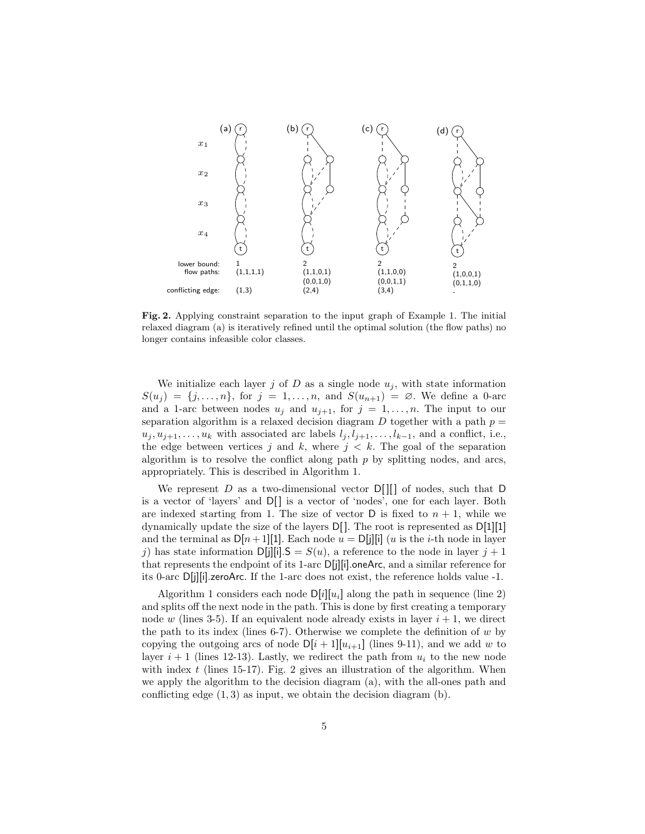

Fig. 2. Applying constraint separation to the input graph of Example 1. The initial relaxed diagram (a) is iteratively refined until the optimal solution (the flow paths) no longer contains infeasible color classes.

We initialize each layer j of D as a single node  $u_i$ , with state information  $S(u_i) = \{j, \ldots, n\}$ , for  $j = 1, \ldots, n$ , and  $S(u_{n+1}) = \emptyset$ . We define a 0-arc and a 1-arc between nodes  $u_j$  and  $u_{j+1}$ , for  $j = 1, ..., n$ . The input to our separation algorithm is a relaxed decision diagram  $D$  together with a path  $p =$  $u_j, u_{j+1}, \ldots, u_k$  with associated arc labels  $l_j, l_{j+1}, \ldots, l_{k-1}$ , and a conflict, i.e., the edge between vertices j and k, where  $j < k$ . The goal of the separation algorithm is to resolve the conflict along path  $p$  by splitting nodes, and arcs, appropriately. This is described in Algorithm 1.

We represent  $D$  as a two-dimensional vector  $D[\]$  of nodes, such that D is a vector of 'layers' and  $D[\ ]$  is a vector of 'nodes', one for each layer. Both are indexed starting from 1. The size of vector  $D$  is fixed to  $n + 1$ , while we dynamically update the size of the layers D[ ]. The root is represented as D[1][1] and the terminal as  $D[n+1][1]$ . Each node  $u = D[j][i]$  (u is the *i*-th node in layer j) has state information  $D[j][i]$ . S =  $S(u)$ , a reference to the node in layer  $j + 1$ that represents the endpoint of its 1-arc D[j][i].oneArc, and a similar reference for its 0-arc D[j][i].zeroArc. If the 1-arc does not exist, the reference holds value -1.

Algorithm 1 considers each node  $D[i][u_i]$  along the path in sequence (line 2) and splits off the next node in the path. This is done by first creating a temporary node w (lines 3-5). If an equivalent node already exists in layer  $i + 1$ , we direct the path to its index (lines 6-7). Otherwise we complete the definition of  $w$  by copying the outgoing arcs of node  $D[i+1][u_{i+1}]$  (lines 9-11), and we add w to layer  $i + 1$  (lines 12-13). Lastly, we redirect the path from  $u_i$  to the new node with index t (lines 15-17). Fig. 2 gives an illustration of the algorithm. When we apply the algorithm to the decision diagram (a), with the all-ones path and conflicting edge  $(1, 3)$  as input, we obtain the decision diagram  $(b)$ .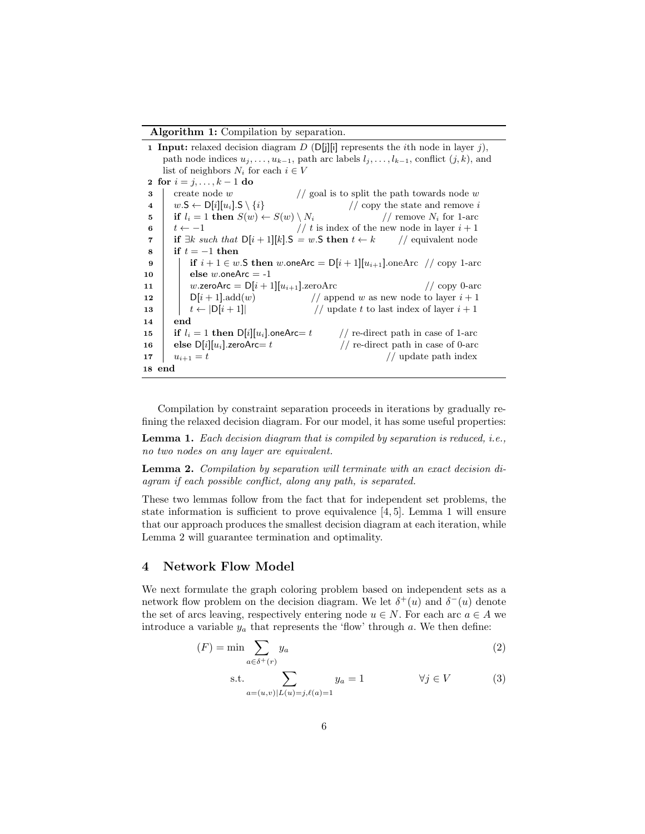#### Algorithm 1: Compilation by separation.

1 Input: relaxed decision diagram  $D$  (D[j][i] represents the *i*th node in layer j), path node indices  $u_j, \ldots, u_{k-1}$ , path arc labels  $l_j, \ldots, l_{k-1}$ , conflict  $(j, k)$ , and list of neighbors  $N_i$  for each  $i \in V$ 2 for  $i = j, ..., k - 1$  do 3 create node w  $//$  goal is to split the path towards node w 4  $w.S \leftarrow D[i][u_i].S \setminus \{i\}$  // copy the state and remove *i* if  $l_i = 1$  then  $S(w) \leftarrow S(w) \setminus N_i$  // remove  $N_i$  for 1-arc 5 if  $l_i = 1$  then  $S(w) \leftarrow S(w) \setminus N_i$ 6  $t \leftarrow -1$  // t is index of the new node in layer  $i + 1$ 7 if  $\exists k \text{ such that } D[i+1][k]$ . S = w. S then  $t \leftarrow k$  // equivalent node  $8 \text{ }$  if  $t = -1$  then 9 if  $i + 1 \in w$ . S then w.one Arc  $= D[i + 1][u_{i+1}]$ .one Arc  $\#$  copy 1-arc 10 | else w.oneArc  $= -1$ 11 w.zeroArc =  $D[i+1][u_{i+1}]$ .zeroArc // copy 0-arc 12 |  $D[i + 1]$ .add $(w)$  // append w as new node to layer  $i + 1$ 13  $\left| \begin{array}{c} | \ \end{array} \right|$   $t \leftarrow |D[i+1]|$  // update t to last index of layer  $i+1$ 14 end 15 **if**  $l_i = 1$  then  $D[i][u_i]$ .oneArc= t // re-direct path in case of 1-arc 16 else  $D[i][u_i]$ .zeroArc= t // re-direct path in case of 0-arc 17  $u_{i+1} = t$  // update path index 18 end

Compilation by constraint separation proceeds in iterations by gradually refining the relaxed decision diagram. For our model, it has some useful properties:

Lemma 1. Each decision diagram that is compiled by separation is reduced, i.e., no two nodes on any layer are equivalent.

Lemma 2. Compilation by separation will terminate with an exact decision diagram if each possible conflict, along any path, is separated.

These two lemmas follow from the fact that for independent set problems, the state information is sufficient to prove equivalence [4, 5]. Lemma 1 will ensure that our approach produces the smallest decision diagram at each iteration, while Lemma 2 will guarantee termination and optimality.

#### 4 Network Flow Model

We next formulate the graph coloring problem based on independent sets as a network flow problem on the decision diagram. We let  $\delta^+(u)$  and  $\delta^-(u)$  denote the set of arcs leaving, respectively entering node  $u \in N$ . For each arc  $a \in A$  we introduce a variable  $y_a$  that represents the 'flow' through a. We then define:

$$
(F) = \min \sum_{a \in \delta^+(r)} y_a \tag{2}
$$

s.t. 
$$
\sum_{a=(u,v)|L(u)=j,\ell(a)=1} y_a = 1 \qquad \forall j \in V
$$
 (3)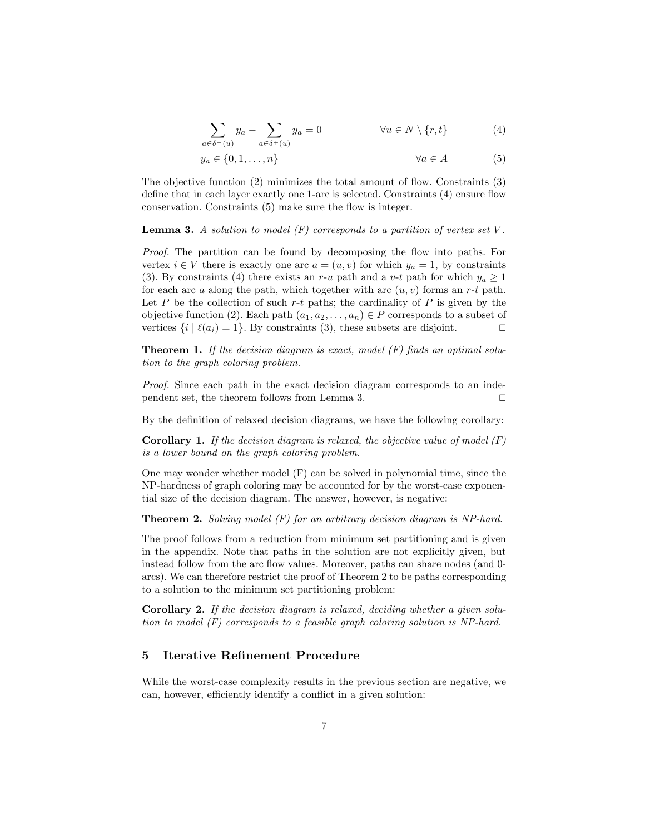$$
\sum_{a \in \delta^-(u)} y_a - \sum_{a \in \delta^+(u)} y_a = 0 \qquad \forall u \in N \setminus \{r, t\} \tag{4}
$$

$$
y_a \in \{0, 1, \dots, n\} \qquad \forall a \in A \tag{5}
$$

The objective function (2) minimizes the total amount of flow. Constraints (3) define that in each layer exactly one 1-arc is selected. Constraints (4) ensure flow conservation. Constraints (5) make sure the flow is integer.

**Lemma 3.** A solution to model  $(F)$  corresponds to a partition of vertex set  $V$ .

Proof. The partition can be found by decomposing the flow into paths. For vertex  $i \in V$  there is exactly one arc  $a = (u, v)$  for which  $y_a = 1$ , by constraints (3). By constraints (4) there exists an r-u path and a v-t path for which  $y_a \ge 1$ for each arc a along the path, which together with arc  $(u, v)$  forms an r-t path. Let P be the collection of such r-t paths; the cardinality of P is given by the objective function (2). Each path  $(a_1, a_2, \ldots, a_n) \in P$  corresponds to a subset of vertices  $\{i \mid \ell(a_i) = 1\}$ . By constraints (3), these subsets are disjoint.  $\square$ 

**Theorem 1.** If the decision diagram is exact, model  $(F)$  finds an optimal solution to the graph coloring problem.

Proof. Since each path in the exact decision diagram corresponds to an independent set, the theorem follows from Lemma 3.  $\Box$ 

By the definition of relaxed decision diagrams, we have the following corollary:

**Corollary 1.** If the decision diagram is relaxed, the objective value of model  $(F)$ is a lower bound on the graph coloring problem.

One may wonder whether model (F) can be solved in polynomial time, since the NP-hardness of graph coloring may be accounted for by the worst-case exponential size of the decision diagram. The answer, however, is negative:

**Theorem 2.** Solving model  $(F)$  for an arbitrary decision diagram is NP-hard.

The proof follows from a reduction from minimum set partitioning and is given in the appendix. Note that paths in the solution are not explicitly given, but instead follow from the arc flow values. Moreover, paths can share nodes (and 0 arcs). We can therefore restrict the proof of Theorem 2 to be paths corresponding to a solution to the minimum set partitioning problem:

Corollary 2. If the decision diagram is relaxed, deciding whether a given solution to model (F) corresponds to a feasible graph coloring solution is NP-hard.

## 5 Iterative Refinement Procedure

While the worst-case complexity results in the previous section are negative, we can, however, efficiently identify a conflict in a given solution: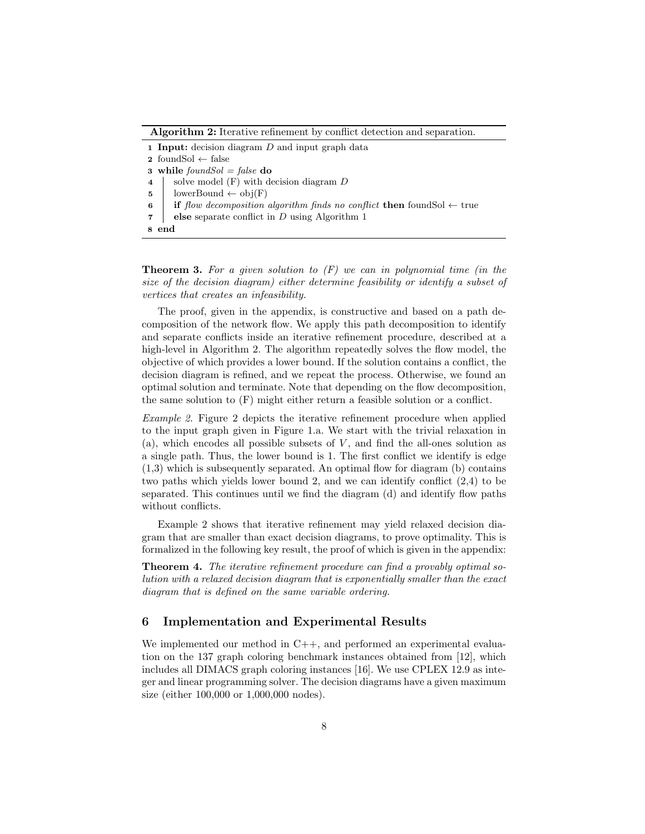Algorithm 2: Iterative refinement by conflict detection and separation.

1 Input: decision diagram  $D$  and input graph data 2 foundSol  $\leftarrow$  false 3 while  $foundSol = false$  do 4 | solve model  $(F)$  with decision diagram  $D$ 5 | lowerBound  $\leftarrow$  obj $(F)$ 6 if flow decomposition algorithm finds no conflict then foundSol  $\leftarrow$  true **7** else separate conflict in D using Algorithm 1 8 end

**Theorem 3.** For a given solution to  $(F)$  we can in polynomial time (in the size of the decision diagram) either determine feasibility or identify a subset of vertices that creates an infeasibility.

The proof, given in the appendix, is constructive and based on a path decomposition of the network flow. We apply this path decomposition to identify and separate conflicts inside an iterative refinement procedure, described at a high-level in Algorithm 2. The algorithm repeatedly solves the flow model, the objective of which provides a lower bound. If the solution contains a conflict, the decision diagram is refined, and we repeat the process. Otherwise, we found an optimal solution and terminate. Note that depending on the flow decomposition, the same solution to (F) might either return a feasible solution or a conflict.

Example 2. Figure 2 depicts the iterative refinement procedure when applied to the input graph given in Figure 1.a. We start with the trivial relaxation in  $(a)$ , which encodes all possible subsets of V, and find the all-ones solution as a single path. Thus, the lower bound is 1. The first conflict we identify is edge (1,3) which is subsequently separated. An optimal flow for diagram (b) contains two paths which yields lower bound 2, and we can identify conflict (2,4) to be separated. This continues until we find the diagram (d) and identify flow paths without conflicts.

Example 2 shows that iterative refinement may yield relaxed decision diagram that are smaller than exact decision diagrams, to prove optimality. This is formalized in the following key result, the proof of which is given in the appendix:

**Theorem 4.** The iterative refinement procedure can find a provably optimal solution with a relaxed decision diagram that is exponentially smaller than the exact diagram that is defined on the same variable ordering.

#### 6 Implementation and Experimental Results

We implemented our method in C++, and performed an experimental evaluation on the 137 graph coloring benchmark instances obtained from [12], which includes all DIMACS graph coloring instances [16]. We use CPLEX 12.9 as integer and linear programming solver. The decision diagrams have a given maximum size (either 100,000 or 1,000,000 nodes).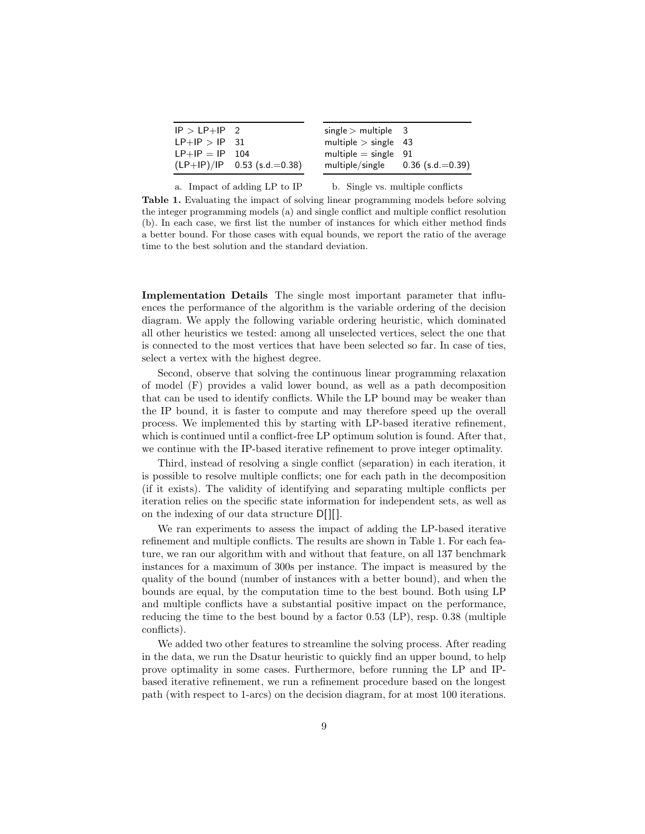| $IP > LP + IP$ 2 |                               | $single >$ multiple 3  |                    |
|------------------|-------------------------------|------------------------|--------------------|
| $LP+IP > IP$ 31  |                               | multiple $>$ single 43 |                    |
| $LP+IP = IP$ 104 |                               | multiple $=$ single 91 |                    |
|                  | $(LP+IP)/IP$ 0.53 (s.d.=0.38) | multiple/single        | $0.36$ (s.d.=0.39) |

a. Impact of adding LP to IP

b. Single vs. multiple conflicts

Table 1. Evaluating the impact of solving linear programming models before solving the integer programming models (a) and single conflict and multiple conflict resolution (b). In each case, we first list the number of instances for which either method finds a better bound. For those cases with equal bounds, we report the ratio of the average time to the best solution and the standard deviation.

Implementation Details The single most important parameter that influences the performance of the algorithm is the variable ordering of the decision diagram. We apply the following variable ordering heuristic, which dominated all other heuristics we tested: among all unselected vertices, select the one that is connected to the most vertices that have been selected so far. In case of ties, select a vertex with the highest degree.

Second, observe that solving the continuous linear programming relaxation of model (F) provides a valid lower bound, as well as a path decomposition that can be used to identify conflicts. While the LP bound may be weaker than the IP bound, it is faster to compute and may therefore speed up the overall process. We implemented this by starting with LP-based iterative refinement, which is continued until a conflict-free LP optimum solution is found. After that, we continue with the IP-based iterative refinement to prove integer optimality.

Third, instead of resolving a single conflict (separation) in each iteration, it is possible to resolve multiple conflicts; one for each path in the decomposition (if it exists). The validity of identifying and separating multiple conflicts per iteration relies on the specific state information for independent sets, as well as on the indexing of our data structure D[ ][ ].

We ran experiments to assess the impact of adding the LP-based iterative refinement and multiple conflicts. The results are shown in Table 1. For each feature, we ran our algorithm with and without that feature, on all 137 benchmark instances for a maximum of 300s per instance. The impact is measured by the quality of the bound (number of instances with a better bound), and when the bounds are equal, by the computation time to the best bound. Both using LP and multiple conflicts have a substantial positive impact on the performance, reducing the time to the best bound by a factor 0.53 (LP), resp. 0.38 (multiple conflicts).

We added two other features to streamline the solving process. After reading in the data, we run the Dsatur heuristic to quickly find an upper bound, to help prove optimality in some cases. Furthermore, before running the LP and IPbased iterative refinement, we run a refinement procedure based on the longest path (with respect to 1-arcs) on the decision diagram, for at most 100 iterations.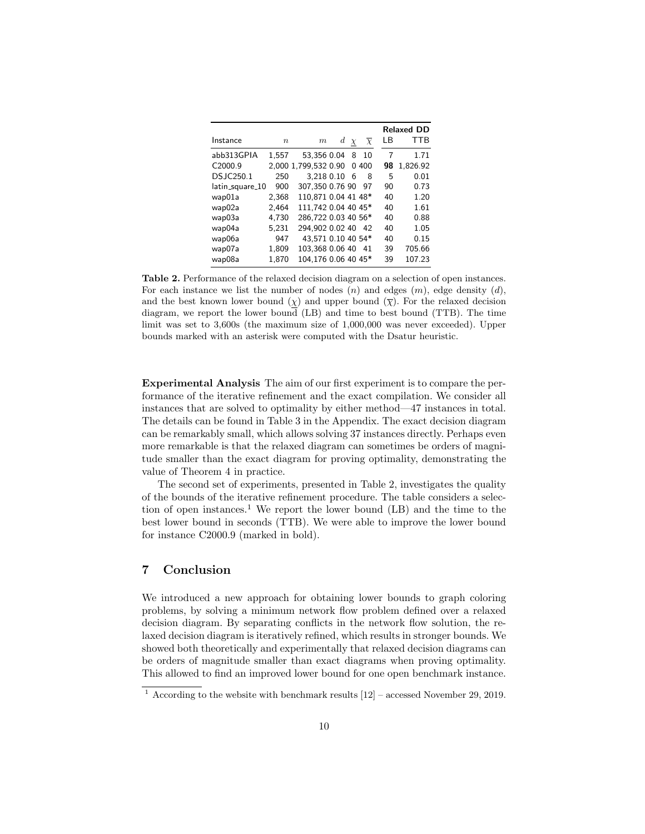|                 |                  |                      |   |        |                   |    | <b>Relaxed DD</b> |  |  |  |
|-----------------|------------------|----------------------|---|--------|-------------------|----|-------------------|--|--|--|
| Instance        | $\boldsymbol{n}$ | m                    | d | $\chi$ | $\overline{\chi}$ | LВ | TTB               |  |  |  |
| abb313GPIA      | 1.557            | 53,356 0.04          |   | 8      | 10                | 7  | 1.71              |  |  |  |
| C2000.9         |                  | 2,000 1,799,532 0.90 |   | 0      | 400               | 98 | 1.826.92          |  |  |  |
| DS.IC250.1      | 250              | 3.218 0.10           |   | 6      | 8                 | 5  | 0.01              |  |  |  |
| latin_square_10 | 900              | 307,350 0.76 90      |   |        | 97                | 90 | 0.73              |  |  |  |
| wap01a          | 2,368            | 110,871 0.04 41 48*  |   |        |                   | 40 | 1.20              |  |  |  |
| wap02a          | 2,464            | 111.742 0.04 40 45*  |   |        |                   | 40 | 1.61              |  |  |  |
| wap03a          | 4.730            | 286,722 0.03 40 56*  |   |        |                   | 40 | 0.88              |  |  |  |
| wap04a          | 5,231            | 294,902 0.02 40      |   |        | - 42              | 40 | 1.05              |  |  |  |
| wap06a          | 947              | 43.571 0.10 40 54*   |   |        |                   | 40 | 0.15              |  |  |  |
| wap07a          | 1,809            | 103,368 0.06 40      |   |        | 41                | 39 | 705.66            |  |  |  |
| wap08a          | 1.870            | 104,176 0.06 40 45*  |   |        |                   | 39 | 107.23            |  |  |  |

Table 2. Performance of the relaxed decision diagram on a selection of open instances. For each instance we list the number of nodes  $(n)$  and edges  $(m)$ , edge density  $(d)$ , and the best known lower bound  $(\chi)$  and upper bound  $(\overline{\chi})$ . For the relaxed decision diagram, we report the lower bound (LB) and time to best bound (TTB). The time limit was set to 3,600s (the maximum size of 1,000,000 was never exceeded). Upper bounds marked with an asterisk were computed with the Dsatur heuristic.

Experimental Analysis The aim of our first experiment is to compare the performance of the iterative refinement and the exact compilation. We consider all instances that are solved to optimality by either method—47 instances in total. The details can be found in Table 3 in the Appendix. The exact decision diagram can be remarkably small, which allows solving 37 instances directly. Perhaps even more remarkable is that the relaxed diagram can sometimes be orders of magnitude smaller than the exact diagram for proving optimality, demonstrating the value of Theorem 4 in practice.

The second set of experiments, presented in Table 2, investigates the quality of the bounds of the iterative refinement procedure. The table considers a selection of open instances.<sup>1</sup> We report the lower bound  $(LB)$  and the time to the best lower bound in seconds (TTB). We were able to improve the lower bound for instance C2000.9 (marked in bold).

# 7 Conclusion

We introduced a new approach for obtaining lower bounds to graph coloring problems, by solving a minimum network flow problem defined over a relaxed decision diagram. By separating conflicts in the network flow solution, the relaxed decision diagram is iteratively refined, which results in stronger bounds. We showed both theoretically and experimentally that relaxed decision diagrams can be orders of magnitude smaller than exact diagrams when proving optimality. This allowed to find an improved lower bound for one open benchmark instance.

<sup>&</sup>lt;sup>1</sup> According to the website with benchmark results  $[12]$  – accessed November 29, 2019.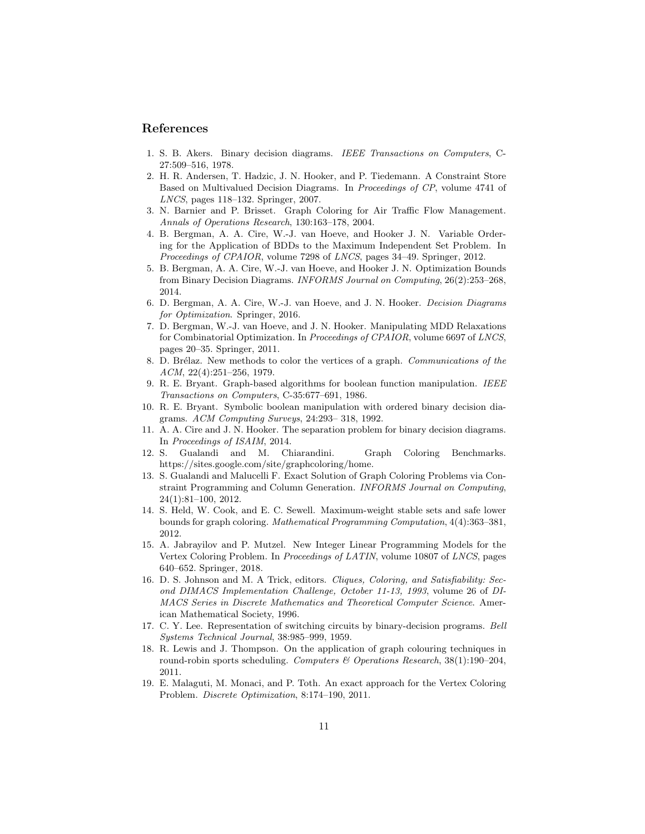#### References

- 1. S. B. Akers. Binary decision diagrams. IEEE Transactions on Computers, C-27:509–516, 1978.
- 2. H. R. Andersen, T. Hadzic, J. N. Hooker, and P. Tiedemann. A Constraint Store Based on Multivalued Decision Diagrams. In Proceedings of CP, volume 4741 of LNCS, pages 118–132. Springer, 2007.
- 3. N. Barnier and P. Brisset. Graph Coloring for Air Traffic Flow Management. Annals of Operations Research, 130:163–178, 2004.
- 4. B. Bergman, A. A. Cire, W.-J. van Hoeve, and Hooker J. N. Variable Ordering for the Application of BDDs to the Maximum Independent Set Problem. In Proceedings of CPAIOR, volume 7298 of LNCS, pages 34–49. Springer, 2012.
- 5. B. Bergman, A. A. Cire, W.-J. van Hoeve, and Hooker J. N. Optimization Bounds from Binary Decision Diagrams. INFORMS Journal on Computing, 26(2):253–268, 2014.
- 6. D. Bergman, A. A. Cire, W.-J. van Hoeve, and J. N. Hooker. Decision Diagrams for Optimization. Springer, 2016.
- 7. D. Bergman, W.-J. van Hoeve, and J. N. Hooker. Manipulating MDD Relaxations for Combinatorial Optimization. In Proceedings of CPAIOR, volume 6697 of LNCS, pages 20–35. Springer, 2011.
- 8. D. Brélaz. New methods to color the vertices of a graph. Communications of the ACM, 22(4):251–256, 1979.
- 9. R. E. Bryant. Graph-based algorithms for boolean function manipulation. IEEE Transactions on Computers, C-35:677–691, 1986.
- 10. R. E. Bryant. Symbolic boolean manipulation with ordered binary decision diagrams. ACM Computing Surveys, 24:293– 318, 1992.
- 11. A. A. Cire and J. N. Hooker. The separation problem for binary decision diagrams. In Proceedings of ISAIM, 2014.
- 12. S. Gualandi and M. Chiarandini. Graph Coloring Benchmarks. https://sites.google.com/site/graphcoloring/home.
- 13. S. Gualandi and Malucelli F. Exact Solution of Graph Coloring Problems via Constraint Programming and Column Generation. INFORMS Journal on Computing, 24(1):81–100, 2012.
- 14. S. Held, W. Cook, and E. C. Sewell. Maximum-weight stable sets and safe lower bounds for graph coloring. Mathematical Programming Computation, 4(4):363–381, 2012.
- 15. A. Jabrayilov and P. Mutzel. New Integer Linear Programming Models for the Vertex Coloring Problem. In Proceedings of LATIN, volume 10807 of LNCS, pages 640–652. Springer, 2018.
- 16. D. S. Johnson and M. A Trick, editors. Cliques, Coloring, and Satisfiability: Second DIMACS Implementation Challenge, October 11-13, 1993, volume 26 of DI-MACS Series in Discrete Mathematics and Theoretical Computer Science. American Mathematical Society, 1996.
- 17. C. Y. Lee. Representation of switching circuits by binary-decision programs. Bell Systems Technical Journal, 38:985–999, 1959.
- 18. R. Lewis and J. Thompson. On the application of graph colouring techniques in round-robin sports scheduling. Computers & Operations Research,  $38(1):190-204$ , 2011.
- 19. E. Malaguti, M. Monaci, and P. Toth. An exact approach for the Vertex Coloring Problem. Discrete Optimization, 8:174–190, 2011.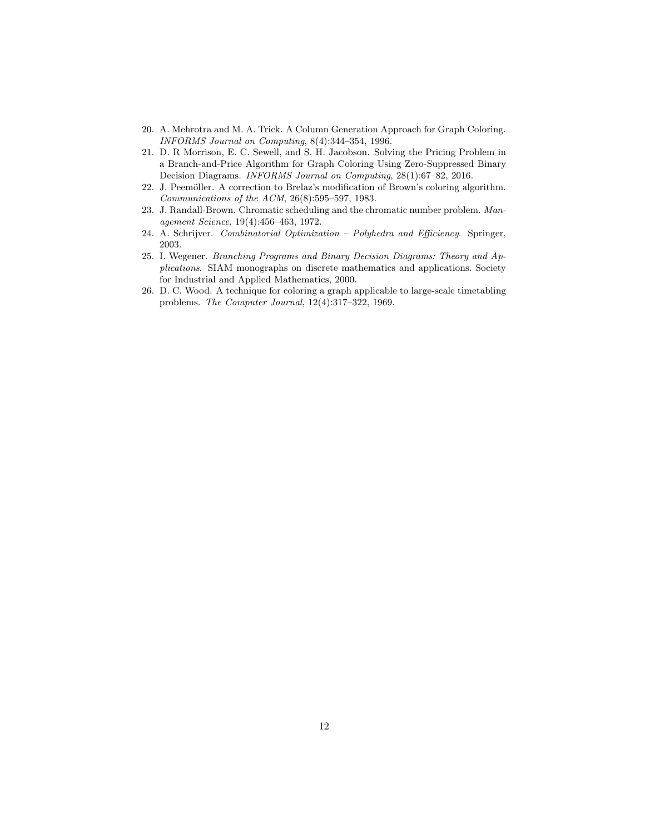- 20. A. Mehrotra and M. A. Trick. A Column Generation Approach for Graph Coloring. INFORMS Journal on Computing, 8(4):344–354, 1996.
- 21. D. R Morrison, E. C. Sewell, and S. H. Jacobson. Solving the Pricing Problem in a Branch-and-Price Algorithm for Graph Coloring Using Zero-Suppressed Binary Decision Diagrams. INFORMS Journal on Computing, 28(1):67–82, 2016.
- 22. J. Peemöller. A correction to Brelaz's modification of Brown's coloring algorithm. Communications of the ACM, 26(8):595–597, 1983.
- 23. J. Randall-Brown. Chromatic scheduling and the chromatic number problem. Management Science, 19(4):456–463, 1972.
- 24. A. Schrijver. Combinatorial Optimization Polyhedra and Efficiency. Springer, 2003.
- 25. I. Wegener. Branching Programs and Binary Decision Diagrams: Theory and Applications. SIAM monographs on discrete mathematics and applications. Society for Industrial and Applied Mathematics, 2000.
- 26. D. C. Wood. A technique for coloring a graph applicable to large-scale timetabling problems. The Computer Journal, 12(4):317–322, 1969.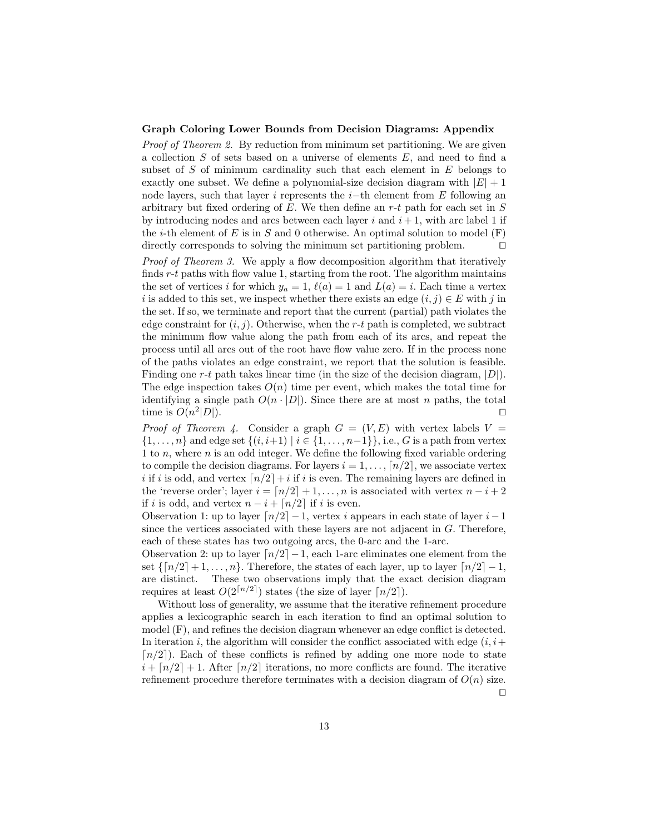#### Graph Coloring Lower Bounds from Decision Diagrams: Appendix

Proof of Theorem 2. By reduction from minimum set partitioning. We are given a collection  $S$  of sets based on a universe of elements  $E$ , and need to find a subset of  $S$  of minimum cardinality such that each element in  $E$  belongs to exactly one subset. We define a polynomial-size decision diagram with  $|E| + 1$ node layers, such that layer i represents the i–th element from  $E$  following an arbitrary but fixed ordering of  $E$ . We then define an r-t path for each set in  $S$ by introducing nodes and arcs between each layer  $i$  and  $i + 1$ , with arc label 1 if the *i*-th element of E is in S and 0 otherwise. An optimal solution to model  $(F)$ directly corresponds to solving the minimum set partitioning problem.  $\Box$ 

Proof of Theorem 3. We apply a flow decomposition algorithm that iteratively finds r-t paths with flow value 1, starting from the root. The algorithm maintains the set of vertices i for which  $y_a = 1$ ,  $\ell(a) = 1$  and  $L(a) = i$ . Each time a vertex i is added to this set, we inspect whether there exists an edge  $(i, j) \in E$  with j in the set. If so, we terminate and report that the current (partial) path violates the edge constraint for  $(i, j)$ . Otherwise, when the r-t path is completed, we subtract the minimum flow value along the path from each of its arcs, and repeat the process until all arcs out of the root have flow value zero. If in the process none of the paths violates an edge constraint, we report that the solution is feasible. Finding one r-t path takes linear time (in the size of the decision diagram,  $|D|$ ). The edge inspection takes  $O(n)$  time per event, which makes the total time for identifying a single path  $O(n \cdot |D|)$ . Since there are at most n paths, the total time is  $O(n^2)$  $|D|$ ).

Proof of Theorem 4. Consider a graph  $G = (V, E)$  with vertex labels  $V =$  $\{1, \ldots, n\}$  and edge set  $\{(i, i+1) | i \in \{1, \ldots, n-1\}\}\)$ , i.e., G is a path from vertex 1 to n, where n is an odd integer. We define the following fixed variable ordering to compile the decision diagrams. For layers  $i = 1, ..., \lfloor n/2 \rfloor$ , we associate vertex i if i is odd, and vertex  $\lceil n/2 \rceil + i$  if i is even. The remaining layers are defined in the 'reverse order'; layer  $i = \lfloor n/2 \rfloor + 1, \ldots, n$  is associated with vertex  $n - i + 2$ if *i* is odd, and vertex  $n - i + \lfloor n/2 \rfloor$  if *i* is even.

Observation 1: up to layer  $\lceil n/2 \rceil - 1$ , vertex i appears in each state of layer i–1 since the vertices associated with these layers are not adjacent in  $G$ . Therefore, each of these states has two outgoing arcs, the 0-arc and the 1-arc.

Observation 2: up to layer  $\lceil n/2 \rceil - 1$ , each 1-arc eliminates one element from the set  $\{\lceil n/2 \rceil + 1, \ldots, n\}$ . Therefore, the states of each layer, up to layer  $\lceil n/2 \rceil - 1$ , are distinct. These two observations imply that the exact decision diagram requires at least  $O(2^{\lceil n/2 \rceil})$  states (the size of layer  $\lceil n/2 \rceil$ ).

Without loss of generality, we assume that the iterative refinement procedure applies a lexicographic search in each iteration to find an optimal solution to model (F), and refines the decision diagram whenever an edge conflict is detected. In iteration i, the algorithm will consider the conflict associated with edge  $(i, i+$  $\lceil n/2 \rceil$ ). Each of these conflicts is refined by adding one more node to state  $i + \lfloor n/2 \rfloor + 1$ . After  $\lfloor n/2 \rfloor$  iterations, no more conflicts are found. The iterative refinement procedure therefore terminates with a decision diagram of  $O(n)$  size.

 $\Box$